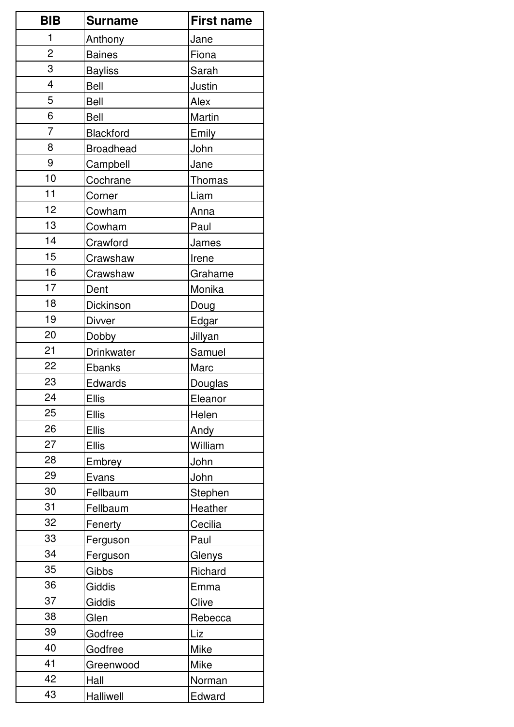| <b>BIB</b>     | <b>Surname</b>   | <b>First name</b> |
|----------------|------------------|-------------------|
| 1              | Anthony          | Jane              |
| $\overline{2}$ | <b>Baines</b>    | Fiona             |
| 3              | <b>Bayliss</b>   | Sarah             |
| $\overline{4}$ | <b>Bell</b>      | Justin            |
| 5              | Bell             | Alex              |
| 6              | <b>Bell</b>      | Martin            |
| $\overline{7}$ | Blackford        | Emily             |
| 8              | <b>Broadhead</b> | John              |
| 9              | Campbell         | Jane              |
| 10             | Cochrane         | Thomas            |
| 11             | Corner           | Liam              |
| 12             | Cowham           | Anna              |
| 13             | Cowham           | Paul              |
| 14             | Crawford         | James             |
| 15             | Crawshaw         | Irene             |
| 16             | Crawshaw         | Grahame           |
| 17             | Dent             | Monika            |
| 18             | Dickinson        | Doug              |
| 19             | <b>Divver</b>    | Edgar             |
| 20             | Dobby            | Jillyan           |
| 21             | Drinkwater       | Samuel            |
| 22             | Ebanks           | Marc              |
| 23             | Edwards          | Douglas           |
| 24             | <b>Ellis</b>     | Eleanor           |
| 25             | <b>Ellis</b>     | Helen             |
| 26             | <b>Ellis</b>     | Andy              |
| 27             | <b>Ellis</b>     | William           |
| 28             | Embrey           | John              |
| 29             | Evans            | John              |
| 30             | Fellbaum         | Stephen           |
| 31             | Fellbaum         | Heather           |
| 32             | Fenerty          | Cecilia           |
| 33             | Ferguson         | Paul              |
| 34             | Ferguson         | Glenys            |
| 35             | Gibbs            | Richard           |
| 36             | Giddis           | Emma              |
| 37             | Giddis           | Clive             |
| 38             | Glen             | Rebecca           |
| 39             | Godfree          | Liz               |
| 40             | Godfree          | Mike              |
| 41             | Greenwood        | Mike              |
| 42             | Hall             | Norman            |
| 43             | Halliwell        | Edward            |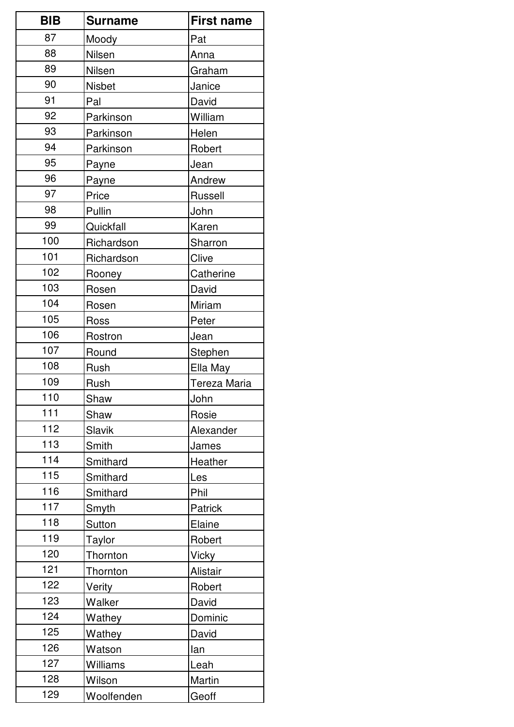| <b>BIB</b> | <b>Surname</b> | <b>First name</b> |
|------------|----------------|-------------------|
| 87         | Moody          | Pat               |
| 88         | Nilsen         | Anna              |
| 89         | Nilsen         | Graham            |
| 90         | <b>Nisbet</b>  | Janice            |
| 91         | Pal            | David             |
| 92         | Parkinson      | William           |
| 93         | Parkinson      | Helen             |
| 94         | Parkinson      | Robert            |
| 95         | Payne          | Jean              |
| 96         | Payne          | Andrew            |
| 97         | Price          | Russell           |
| 98         | Pullin         | John              |
| 99         | Quickfall      | Karen             |
| 100        | Richardson     | Sharron           |
| 101        | Richardson     | Clive             |
| 102        | Rooney         | Catherine         |
| 103        | Rosen          | David             |
| 104        | Rosen          | Miriam            |
| 105        | Ross           | Peter             |
| 106        | Rostron        | Jean              |
| 107        | Round          | Stephen           |
| 108        | Rush           | Ella May          |
| 109        | Rush           | Tereza Maria      |
| 110        | Shaw           | John              |
| 111        | Shaw           | Rosie             |
| 112        | Slavik         | Alexander         |
| 113        | Smith          | James             |
| 114        | Smithard       | Heather           |
| 115        | Smithard       | Les               |
| 116        | Smithard       | Phil              |
| 117        | Smyth          | Patrick           |
| 118        | Sutton         | Elaine            |
| 119        | Taylor         | Robert            |
| 120        | Thornton       | <b>Vicky</b>      |
| 121        | Thornton       | Alistair          |
| 122        | Verity         | Robert            |
| 123        | Walker         | David             |
| 124        | Wathey         | Dominic           |
| 125        | Wathey         | David             |
| 126        | Watson         | lan               |
| 127        | Williams       | Leah              |
| 128        | Wilson         | Martin            |
| 129        | Woolfenden     | Geoff             |